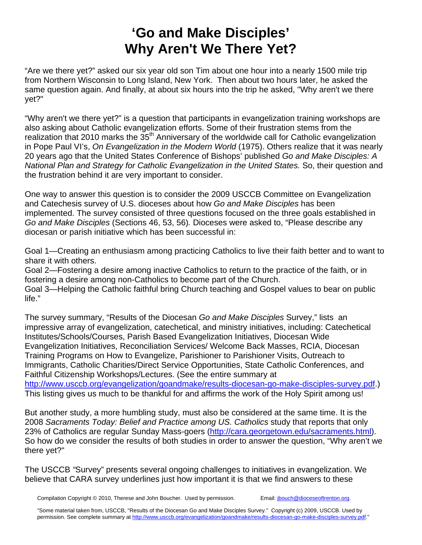# **'Go and Make Disciples' Why Aren't We There Yet?**

"Are we there yet?" asked our six year old son Tim about one hour into a nearly 1500 mile trip from Northern Wisconsin to Long Island, New York. Then about two hours later, he asked the same question again. And finally, at about six hours into the trip he asked, "Why aren't we there yet?"

"Why aren't we there yet?" is a question that participants in evangelization training workshops are also asking about Catholic evangelization efforts. Some of their frustration stems from the realization that 2010 marks the 35<sup>th</sup> Anniversary of the worldwide call for Catholic evangelization in Pope Paul VI's, *On Evangelization in the Modern World* (1975). Others realize that it was nearly 20 years ago that the United States Conference of Bishops' published *Go and Make Disciples: A National Plan and Strategy for Catholic Evangelization in the United States.* So, their question and the frustration behind it are very important to consider.

One way to answer this question is to consider the 2009 USCCB Committee on Evangelization and Catechesis survey of U.S. dioceses about how *Go and Make Disciples* has been implemented. The survey consisted of three questions focused on the three goals established in *Go and Make Disciples* (Sections 46, 53, 56)*.* Dioceses were asked to, "Please describe any diocesan or parish initiative which has been successful in:

Goal 1—Creating an enthusiasm among practicing Catholics to live their faith better and to want to share it with others.

Goal 2—Fostering a desire among inactive Catholics to return to the practice of the faith, or in fostering a desire among non-Catholics to become part of the Church.

Goal 3—Helping the Catholic faithful bring Church teaching and Gospel values to bear on public life."

The survey summary, "Results of the Diocesan *Go and Make Disciples* Survey," lists an impressive array of evangelization, catechetical, and ministry initiatives, including: Catechetical Institutes/Schools/Courses, Parish Based Evangelization Initiatives, Diocesan Wide Evangelization Initiatives, Reconciliation Services/ Welcome Back Masses, RCIA, Diocesan Training Programs on How to Evangelize, Parishioner to Parishioner Visits, Outreach to Immigrants, Catholic Charities/Direct Service Opportunities, State Catholic Conferences, and Faithful Citizenship Workshops/Lectures. (See the entire summary at http://www.usccb.org/evangelization/goandmake/results-diocesan-go-make-disciples-survey.pdf.) This listing gives us much to be thankful for and affirms the work of the Holy Spirit among us!

But another study, a more humbling study, must also be considered at the same time. It is the 2008 *Sacraments Today: Belief and Practice among US. Catholics* study that reports that only 23% of Catholics are regular Sunday Mass-goers (http://cara.georgetown.edu/sacraments.html). So how do we consider the results of both studies in order to answer the question, "Why aren't we there yet?"

The USCCB *"*Survey" presents several ongoing challenges to initiatives in evangelization. We believe that CARA survey underlines just how important it is that we find answers to these

Compilation Copyright © 2010, Therese and John Boucher. Used by permission. Email: jbouch@dioceseoftrenton.org.

"Some material taken from, USCCB, "Results of the Diocesan Go and Make Disciples Survey." Copyright (c) 2009, USCCB. Used by permission. See complete summary at http://www.usccb.org/evangelization/goandmake/results-diocesan-go-make-disciples-survey.pdf."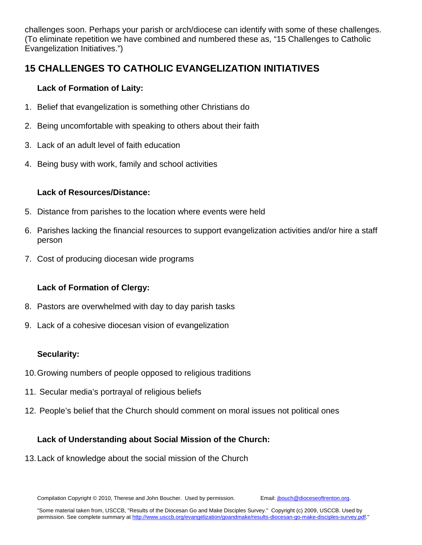challenges soon. Perhaps your parish or arch/diocese can identify with some of these challenges. (To eliminate repetition we have combined and numbered these as, "15 Challenges to Catholic Evangelization Initiatives.")

## **15 CHALLENGES TO CATHOLIC EVANGELIZATION INITIATIVES**

#### **Lack of Formation of Laity:**

- 1. Belief that evangelization is something other Christians do
- 2. Being uncomfortable with speaking to others about their faith
- 3. Lack of an adult level of faith education
- 4. Being busy with work, family and school activities

#### **Lack of Resources/Distance:**

- 5. Distance from parishes to the location where events were held
- 6. Parishes lacking the financial resources to support evangelization activities and/or hire a staff person
- 7. Cost of producing diocesan wide programs

### **Lack of Formation of Clergy:**

- 8. Pastors are overwhelmed with day to day parish tasks
- 9. Lack of a cohesive diocesan vision of evangelization

### **Secularity:**

- 10. Growing numbers of people opposed to religious traditions
- 11. Secular media's portrayal of religious beliefs
- 12. People's belief that the Church should comment on moral issues not political ones

### **Lack of Understanding about Social Mission of the Church:**

13. Lack of knowledge about the social mission of the Church